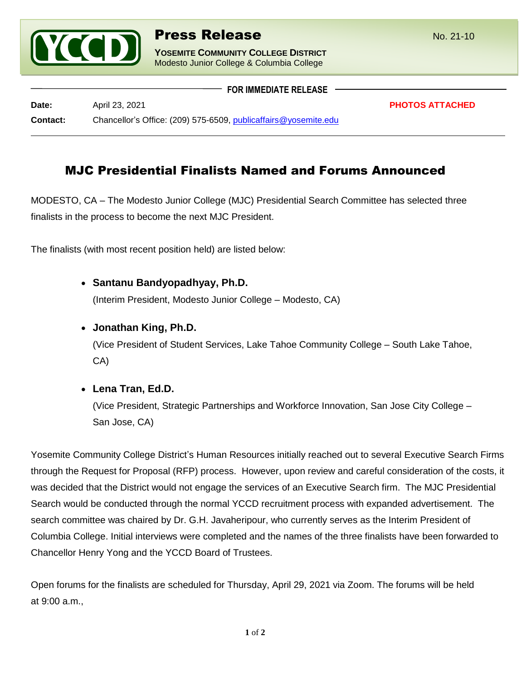

**YOSEMITE COMMUNITY COLLEGE DISTRICT** Modesto Junior College & Columbia College

|                 | <b>FOR IMMEDIATE RELEASE</b>                                    |                        |
|-----------------|-----------------------------------------------------------------|------------------------|
|                 |                                                                 |                        |
| Date:           | April 23, 2021                                                  | <b>PHOTOS ATTACHED</b> |
| <b>Contact:</b> | Chancellor's Office: (209) 575-6509, publicaffairs@yosemite.edu |                        |

# MJC Presidential Finalists Named and Forums Announced

MODESTO, CA – The Modesto Junior College (MJC) Presidential Search Committee has selected three finalists in the process to become the next MJC President.

The finalists (with most recent position held) are listed below:

• **Santanu Bandyopadhyay, Ph.D.**

(Interim President, Modesto Junior College – Modesto, CA)

## • **Jonathan King, Ph.D.**

(Vice President of Student Services, Lake Tahoe Community College – South Lake Tahoe, CA)

# • **Lena Tran, Ed.D.**

(Vice President, Strategic Partnerships and Workforce Innovation, San Jose City College – San Jose, CA)

Yosemite Community College District's Human Resources initially reached out to several Executive Search Firms through the Request for Proposal (RFP) process. However, upon review and careful consideration of the costs, it was decided that the District would not engage the services of an Executive Search firm. The MJC Presidential Search would be conducted through the normal YCCD recruitment process with expanded advertisement. The search committee was chaired by Dr. G.H. Javaheripour, who currently serves as the Interim President of Columbia College. Initial interviews were completed and the names of the three finalists have been forwarded to Chancellor Henry Yong and the YCCD Board of Trustees.

Open forums for the finalists are scheduled for Thursday, April 29, 2021 via Zoom. The forums will be held at 9:00 a.m.,